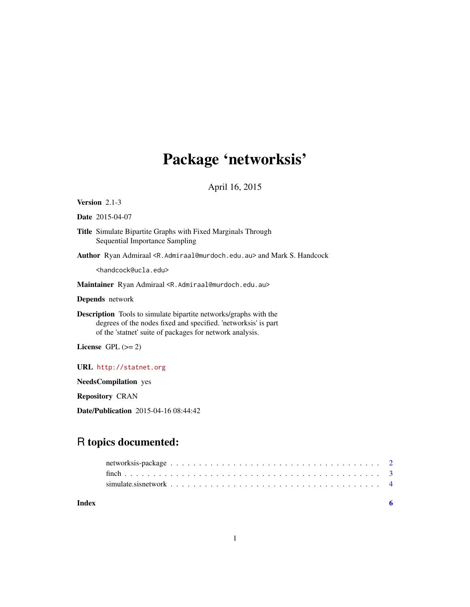# Package 'networksis'

### April 16, 2015

#### <span id="page-0-0"></span>Version 2.1-3

#### Date 2015-04-07

Title Simulate Bipartite Graphs with Fixed Marginals Through Sequential Importance Sampling

Author Ryan Admiraal <R. Admiraal@murdoch.edu.au> and Mark S. Handcock

<handcock@ucla.edu>

Maintainer Ryan Admiraal <R. Admiraal@murdoch.edu.au>

Depends network

Description Tools to simulate bipartite networks/graphs with the degrees of the nodes fixed and specified. 'networksis' is part of the 'statnet' suite of packages for network analysis.

License GPL  $(>= 2)$ 

#### URL <http://statnet.org>

NeedsCompilation yes

Repository CRAN

Date/Publication 2015-04-16 08:44:42

## R topics documented:

#### **Index** [6](#page-5-0) **6**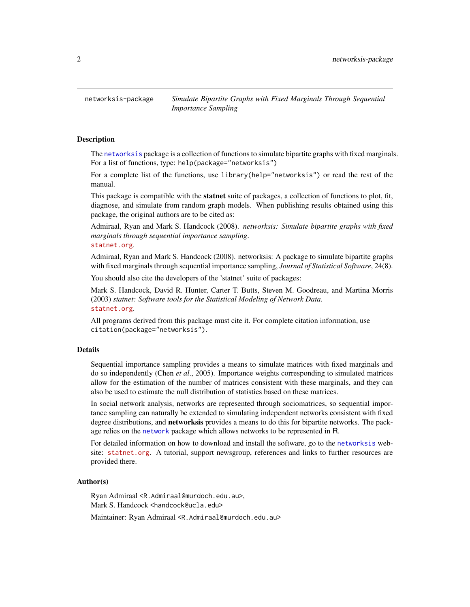<span id="page-1-1"></span><span id="page-1-0"></span>networksis-package *Simulate Bipartite Graphs with Fixed Marginals Through Sequential Importance Sampling*

#### Description

The [networksis](#page-1-1) package is a collection of functions to simulate bipartite graphs with fixed marginals. For a list of functions, type: help(package="networksis")

For a complete list of the functions, use library(help="networksis") or read the rest of the manual.

This package is compatible with the statnet suite of packages, a collection of functions to plot, fit, diagnose, and simulate from random graph models. When publishing results obtained using this package, the original authors are to be cited as:

Admiraal, Ryan and Mark S. Handcock (2008). *networksis: Simulate bipartite graphs with fixed marginals through sequential importance sampling*.

#### <statnet.org>.

Admiraal, Ryan and Mark S. Handcock (2008). networksis: A package to simulate bipartite graphs with fixed marginals through sequential importance sampling, *Journal of Statistical Software*, 24(8).

You should also cite the developers of the 'statnet' suite of packages:

Mark S. Handcock, David R. Hunter, Carter T. Butts, Steven M. Goodreau, and Martina Morris (2003) *statnet: Software tools for the Statistical Modeling of Network Data*. <statnet.org>.

All programs derived from this package must cite it. For complete citation information, use citation(package="networksis").

#### Details

Sequential importance sampling provides a means to simulate matrices with fixed marginals and do so independently (Chen *et al*., 2005). Importance weights corresponding to simulated matrices allow for the estimation of the number of matrices consistent with these marginals, and they can also be used to estimate the null distribution of statistics based on these matrices.

In social network analysis, networks are represented through sociomatrices, so sequential importance sampling can naturally be extended to simulating independent networks consistent with fixed degree distributions, and **networksis** provides a means to do this for bipartite networks. The package relies on the [network](#page-0-0) package which allows networks to be represented in R.

For detailed information on how to download and install the software, go to the [networksis](#page-1-1) website: <statnet.org>. A tutorial, support newsgroup, references and links to further resources are provided there.

#### Author(s)

Ryan Admiraal <R.Admiraal@murdoch.edu.au>, Mark S. Handcock <handcock@ucla.edu>

Maintainer: Ryan Admiraal <R.Admiraal@murdoch.edu.au>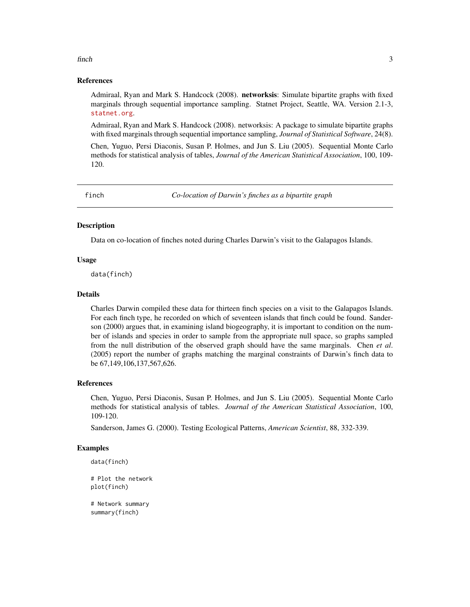#### <span id="page-2-0"></span> $f$  finch  $3$

#### References

Admiraal, Ryan and Mark S. Handcock (2008). networksis: Simulate bipartite graphs with fixed marginals through sequential importance sampling. Statnet Project, Seattle, WA. Version 2.1-3, <statnet.org>.

Admiraal, Ryan and Mark S. Handcock (2008). networksis: A package to simulate bipartite graphs with fixed marginals through sequential importance sampling, *Journal of Statistical Software*, 24(8).

Chen, Yuguo, Persi Diaconis, Susan P. Holmes, and Jun S. Liu (2005). Sequential Monte Carlo methods for statistical analysis of tables, *Journal of the American Statistical Association*, 100, 109- 120.

finch *Co-location of Darwin's finches as a bipartite graph*

#### Description

Data on co-location of finches noted during Charles Darwin's visit to the Galapagos Islands.

#### Usage

data(finch)

#### Details

Charles Darwin compiled these data for thirteen finch species on a visit to the Galapagos Islands. For each finch type, he recorded on which of seventeen islands that finch could be found. Sanderson (2000) argues that, in examining island biogeography, it is important to condition on the number of islands and species in order to sample from the appropriate null space, so graphs sampled from the null distribution of the observed graph should have the same marginals. Chen *et al*. (2005) report the number of graphs matching the marginal constraints of Darwin's finch data to be 67,149,106,137,567,626.

#### References

Chen, Yuguo, Persi Diaconis, Susan P. Holmes, and Jun S. Liu (2005). Sequential Monte Carlo methods for statistical analysis of tables. *Journal of the American Statistical Association*, 100, 109-120.

Sanderson, James G. (2000). Testing Ecological Patterns, *American Scientist*, 88, 332-339.

#### Examples

```
data(finch)
```

```
# Plot the network
plot(finch)
```
# Network summary summary(finch)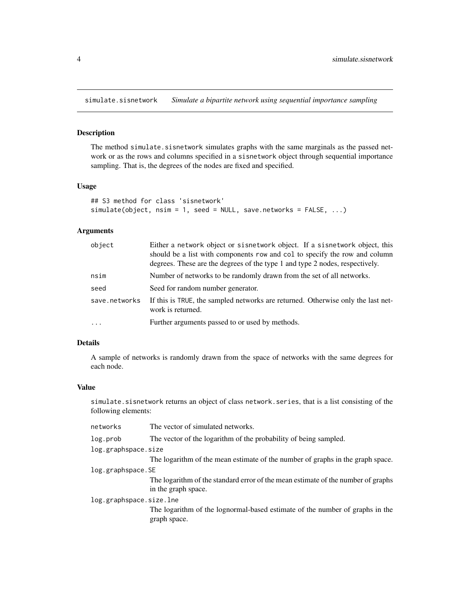<span id="page-3-0"></span>simulate.sisnetwork *Simulate a bipartite network using sequential importance sampling*

#### Description

The method simulate.sisnetwork simulates graphs with the same marginals as the passed network or as the rows and columns specified in a sisnetwork object through sequential importance sampling. That is, the degrees of the nodes are fixed and specified.

#### Usage

```
## S3 method for class 'sisnetwork'
simulate(objject, nsim = 1, seed = NULL, save.networks = FALSE, ...)
```
#### Arguments

| object        | Either a network object or sisnetwork object. If a sisnetwork object, this<br>should be a list with components row and col to specify the row and column<br>degrees. These are the degrees of the type 1 and type 2 nodes, respectively. |
|---------------|------------------------------------------------------------------------------------------------------------------------------------------------------------------------------------------------------------------------------------------|
| nsim          | Number of networks to be randomly drawn from the set of all networks.                                                                                                                                                                    |
| seed          | Seed for random number generator.                                                                                                                                                                                                        |
| save.networks | If this is TRUE, the sampled networks are returned. Otherwise only the last net-<br>work is returned.                                                                                                                                    |
| $\ddotsc$     | Further arguments passed to or used by methods.                                                                                                                                                                                          |

#### Details

A sample of networks is randomly drawn from the space of networks with the same degrees for each node.

#### Value

simulate.sisnetwork returns an object of class network.series, that is a list consisting of the following elements:

| networks                | The vector of simulated networks.                                                                       |
|-------------------------|---------------------------------------------------------------------------------------------------------|
| log.prob                | The vector of the logarithm of the probability of being sampled.                                        |
| log.graphspace.size     |                                                                                                         |
|                         | The logarithm of the mean estimate of the number of graphs in the graph space.                          |
| log.graphspace.SE       |                                                                                                         |
|                         | The logarithm of the standard error of the mean estimate of the number of graphs<br>in the graph space. |
| log.graphspace.size.lne |                                                                                                         |
|                         | The logarithm of the lognormal-based estimate of the number of graphs in the<br>graph space.            |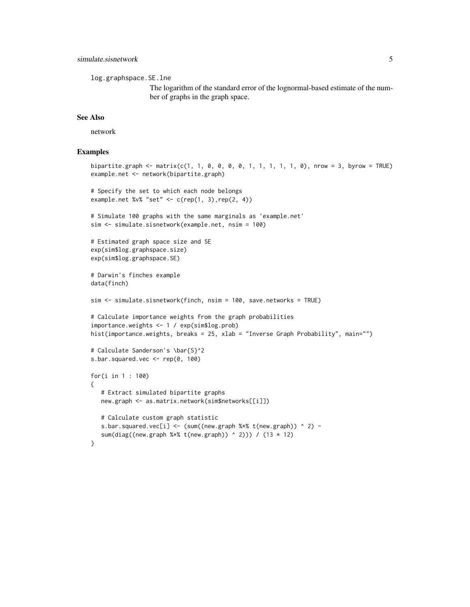log.graphspace.SE.lne

The logarithm of the standard error of the lognormal-based estimate of the number of graphs in the graph space.

#### See Also

network

#### Examples

```
bipartite.graph <- matrix(c(1, 1, 0, 0, 0, 0, 1, 1, 1, 1, 1, 0), nrow = 3, byrow = TRUE)
example.net <- network(bipartite.graph)
# Specify the set to which each node belongs
example.net %v% "set" <- c(rep(1, 3),rep(2, 4))
# Simulate 100 graphs with the same marginals as 'example.net'
sim <- simulate.sisnetwork(example.net, nsim = 100)
# Estimated graph space size and SE
exp(sim$log.graphspace.size)
exp(sim$log.graphspace.SE)
# Darwin's finches example
data(finch)
sim <- simulate.sisnetwork(finch, nsim = 100, save.networks = TRUE)
# Calculate importance weights from the graph probabilities
importance.weights <- 1 / exp(sim$log.prob)
hist(importance.weights, breaks = 25, xlab = "Inverse Graph Probability", main="")
# Calculate Sanderson's \bar{S}^2
s.bar.squared.vec <- rep(0, 100)
for(i in 1 : 100)
{
   # Extract simulated bipartite graphs
  new.graph <- as.matrix.network(sim$networks[[i]])
  # Calculate custom graph statistic
  s.bar.squared.vec[i] <- (sum((new.graph %*% t(new.graph)) ^ 2) -
   sum(diag((new.graph %*% t(new.graph)) ^ 2))) / (13 * 12)
}
```